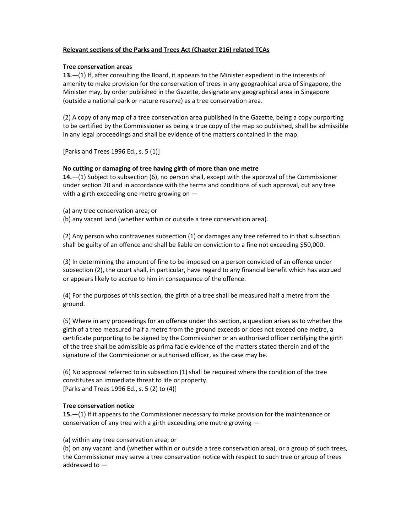# Relevant sections of the Parks and Trees Act (Chapter 216) related TCAs

## Tree conservation areas

13.—(1) If, after consulting the Board, it appears to the Minister expedient in the interests of amenity to make provision for the conservation of trees in any geographical area of Singapore, the Minister may, by order published in the Gazette, designate any geographical area in Singapore (outside a national park or nature reserve) as a tree conservation area.

(2) A copy of any map of a tree conservation area published in the Gazette, being a copy purporting to be certified by the Commissioner as being a true copy of the map so published, shall be admissible in any legal proceedings and shall be evidence of the matters contained in the map.

[Parks and Trees 1996 Ed., s. 5 (1)]

# No cutting or damaging of tree having girth of more than one metre

14.—(1) Subject to subsection (6), no person shall, except with the approval of the Commissioner under section 20 and in accordance with the terms and conditions of such approval, cut any tree with a girth exceeding one metre growing on -

(a) any tree conservation area; or

(b) any vacant land (whether within or outside a tree conservation area).

(2) Any person who contravenes subsection (1) or damages any tree referred to in that subsection shall be guilty of an offence and shall be liable on conviction to a fine not exceeding \$50,000.

(3) In determining the amount of fine to be imposed on a person convicted of an offence under subsection (2), the court shall, in particular, have regard to any financial benefit which has accrued or appears likely to accrue to him in consequence of the offence.

(4) For the purposes of this section, the girth of a tree shall be measured half a metre from the ground.

(5) Where in any proceedings for an offence under this section, a question arises as to whether the girth of a tree measured half a metre from the ground exceeds or does not exceed one metre, a certificate purporting to be signed by the Commissioner or an authorised officer certifying the girth of the tree shall be admissible as prima facie evidence of the matters stated therein and of the signature of the Commissioner or authorised officer, as the case may be.

(6) No approval referred to in subsection (1) shall be required where the condition of the tree constitutes an immediate threat to life or property. [Parks and Trees 1996 Ed., s. 5 (2) to (4)]

## Tree conservation notice

**15.**—(1) If it appears to the Commissioner necessary to make provision for the maintenance or conservation of any tree with a girth exceeding one metre growing —

(a) within any tree conservation area; or

(b) on any vacant land (whether within or outside a tree conservation area), or a group of such trees, the Commissioner may serve a tree conservation notice with respect to such tree or group of trees addressed to —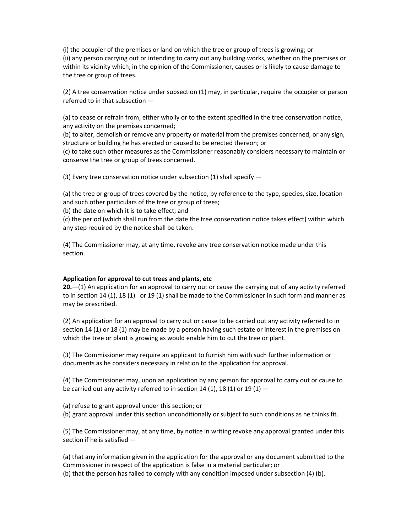(i) the occupier of the premises or land on which the tree or group of trees is growing; or (ii) any person carrying out or intending to carry out any building works, whether on the premises or within its vicinity which, in the opinion of the Commissioner, causes or is likely to cause damage to the tree or group of trees.

(2) A tree conservation notice under subsection (1) may, in particular, require the occupier or person referred to in that subsection —

(a) to cease or refrain from, either wholly or to the extent specified in the tree conservation notice, any activity on the premises concerned;

(b) to alter, demolish or remove any property or material from the premises concerned, or any sign, structure or building he has erected or caused to be erected thereon; or

(c) to take such other measures as the Commissioner reasonably considers necessary to maintain or conserve the tree or group of trees concerned.

(3) Every tree conservation notice under subsection (1) shall specify —

(a) the tree or group of trees covered by the notice, by reference to the type, species, size, location and such other particulars of the tree or group of trees;

(b) the date on which it is to take effect; and

(c) the period (which shall run from the date the tree conservation notice takes effect) within which any step required by the notice shall be taken.

(4) The Commissioner may, at any time, revoke any tree conservation notice made under this section.

## Application for approval to cut trees and plants, etc

 $20-(1)$  An application for an approval to carry out or cause the carrying out of any activity referred to in section 14 (1), 18 (1) or 19 (1) shall be made to the Commissioner in such form and manner as may be prescribed.

(2) An application for an approval to carry out or cause to be carried out any activity referred to in section 14 (1) or 18 (1) may be made by a person having such estate or interest in the premises on which the tree or plant is growing as would enable him to cut the tree or plant.

(3) The Commissioner may require an applicant to furnish him with such further information or documents as he considers necessary in relation to the application for approval.

(4) The Commissioner may, upon an application by any person for approval to carry out or cause to be carried out any activity referred to in section 14 (1), 18 (1) or 19 (1)  $-$ 

(a) refuse to grant approval under this section; or

(b) grant approval under this section unconditionally or subject to such conditions as he thinks fit.

(5) The Commissioner may, at any time, by notice in writing revoke any approval granted under this section if he is satisfied —

(a) that any information given in the application for the approval or any document submitted to the Commissioner in respect of the application is false in a material particular; or

(b) that the person has failed to comply with any condition imposed under subsection (4) (b).